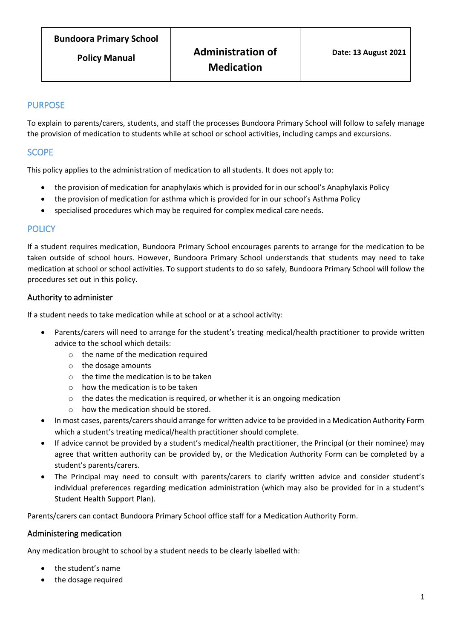# PURPOSE

To explain to parents/carers, students, and staff the processes Bundoora Primary School will follow to safely manage the provision of medication to students while at school or school activities, including camps and excursions.

# **SCOPE**

This policy applies to the administration of medication to all students. It does not apply to:

- the provision of medication for anaphylaxis which is provided for in our school's Anaphylaxis Policy
- the provision of medication for asthma which is provided for in our school's Asthma Policy
- specialised procedures which may be required for complex medical care needs.

#### **POLICY**

If a student requires medication, Bundoora Primary School encourages parents to arrange for the medication to be taken outside of school hours. However, Bundoora Primary School understands that students may need to take medication at school or school activities. To support students to do so safely, Bundoora Primary School will follow the procedures set out in this policy.

### Authority to administer

If a student needs to take medication while at school or at a school activity:

- Parents/carers will need to arrange for the student's treating medical/health practitioner to provide written advice to the school which details:
	- o the name of the medication required
	- o the dosage amounts
	- o the time the medication is to be taken
	- $\circ$  how the medication is to be taken
	- o the dates the medication is required, or whether it is an ongoing medication
	- $\circ$  how the medication should be stored.
- In most cases, parents/carers should arrange for written advice to be provided in a Medication Authority Form which a student's treating medical/health practitioner should complete.
- If advice cannot be provided by a student's medical/health practitioner, the Principal (or their nominee) may agree that written authority can be provided by, or the Medication Authority Form can be completed by a student's parents/carers.
- The Principal may need to consult with parents/carers to clarify written advice and consider student's individual preferences regarding medication administration (which may also be provided for in a student's Student Health Support Plan).

Parents/carers can contact Bundoora Primary School office staff for a Medication Authority Form.

### Administering medication

Any medication brought to school by a student needs to be clearly labelled with:

- the student's name
- the dosage required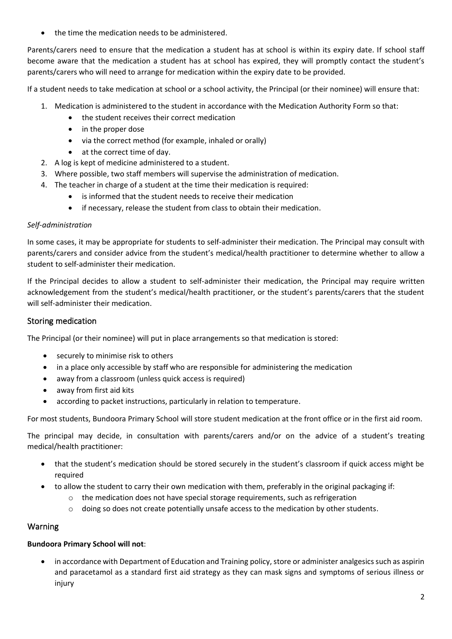the time the medication needs to be administered.

Parents/carers need to ensure that the medication a student has at school is within its expiry date. If school staff become aware that the medication a student has at school has expired, they will promptly contact the student's parents/carers who will need to arrange for medication within the expiry date to be provided.

If a student needs to take medication at school or a school activity, the Principal (or their nominee) will ensure that:

- 1. Medication is administered to the student in accordance with the Medication Authority Form so that:
	- the student receives their correct medication
	- in the proper dose
	- via the correct method (for example, inhaled or orally)
	- at the correct time of day.
- 2. A log is kept of medicine administered to a student.
- 3. Where possible, two staff members will supervise the administration of medication.
- 4. The teacher in charge of a student at the time their medication is required:
	- is informed that the student needs to receive their medication
	- if necessary, release the student from class to obtain their medication.

#### *Self-administration*

In some cases, it may be appropriate for students to self-administer their medication. The Principal may consult with parents/carers and consider advice from the student's medical/health practitioner to determine whether to allow a student to self-administer their medication.

If the Principal decides to allow a student to self-administer their medication, the Principal may require written acknowledgement from the student's medical/health practitioner, or the student's parents/carers that the student will self-administer their medication.

#### Storing medication

The Principal (or their nominee) will put in place arrangements so that medication is stored:

- securely to minimise risk to others
- in a place only accessible by staff who are responsible for administering the medication
- away from a classroom (unless quick access is required)
- away from first aid kits
- according to packet instructions, particularly in relation to temperature.

For most students, Bundoora Primary School will store student medication at the front office or in the first aid room.

The principal may decide, in consultation with parents/carers and/or on the advice of a student's treating medical/health practitioner:

- that the student's medication should be stored securely in the student's classroom if quick access might be required
- to allow the student to carry their own medication with them, preferably in the original packaging if:
	- $\circ$  the medication does not have special storage requirements, such as refrigeration
	- $\circ$  doing so does not create potentially unsafe access to the medication by other students.

### Warning

#### **Bundoora Primary School will not**:

• in accordance with Department of Education and Training policy, store or administer analgesics such as aspirin and paracetamol as a standard first aid strategy as they can mask signs and symptoms of serious illness or injury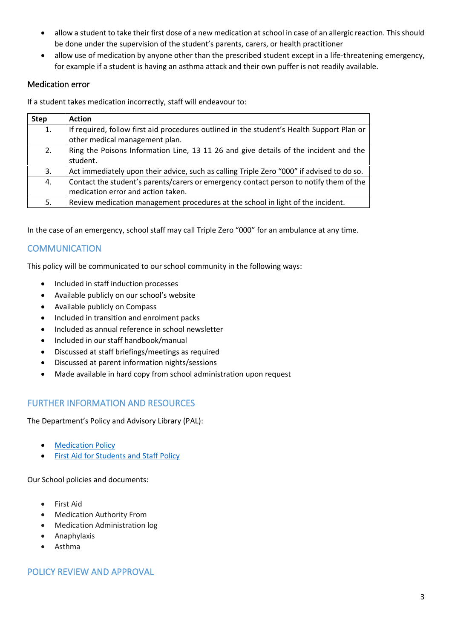- allow a student to take their first dose of a new medication at school in case of an allergic reaction. This should be done under the supervision of the student's parents, carers, or health practitioner
- allow use of medication by anyone other than the prescribed student except in a life-threatening emergency, for example if a student is having an asthma attack and their own puffer is not readily available.

#### Medication error

If a student takes medication incorrectly, staff will endeavour to:

| <b>Step</b> | <b>Action</b>                                                                             |
|-------------|-------------------------------------------------------------------------------------------|
| 1.          | If required, follow first aid procedures outlined in the student's Health Support Plan or |
|             | other medical management plan.                                                            |
| 2.          | Ring the Poisons Information Line, 13 11 26 and give details of the incident and the      |
|             | student.                                                                                  |
| 3.          | Act immediately upon their advice, such as calling Triple Zero "000" if advised to do so. |
| 4.          | Contact the student's parents/carers or emergency contact person to notify them of the    |
|             | medication error and action taken.                                                        |
| 5.          | Review medication management procedures at the school in light of the incident.           |

In the case of an emergency, school staff may call Triple Zero "000" for an ambulance at any time.

# **COMMUNICATION**

This policy will be communicated to our school community in the following ways:

- Included in staff induction processes
- Available publicly on our school's website
- Available publicly on Compass
- Included in transition and enrolment packs
- Included as annual reference in school newsletter
- Included in our staff handbook/manual
- Discussed at staff briefings/meetings as required
- Discussed at parent information nights/sessions
- Made available in hard copy from school administration upon request

### FURTHER INFORMATION AND RESOURCES

The Department's Policy and Advisory Library (PAL):

- **[Medication Policy](https://www2.education.vic.gov.au/pal/medication/policy)**
- [First Aid for Students and Staff Policy](https://www2.education.vic.gov.au/pal/first-aid-students-and-staff/policy)

Our School policies and documents:

- First Aid
- Medication Authority From
- Medication Administration log
- Anaphylaxis
- Asthma

### POLICY REVIEW AND APPROVAL